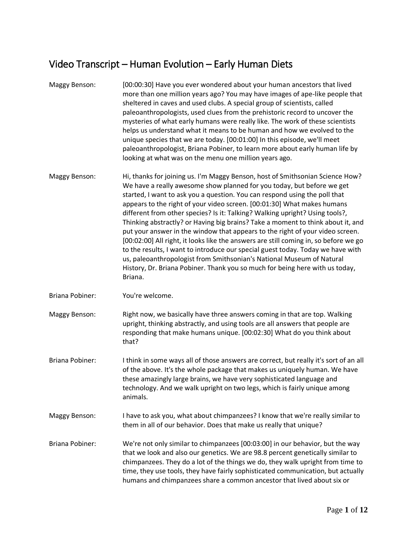## Video Transcript – Human Evolution – Early Human Diets

- Maggy Benson: [00:00:30] Have you ever wondered about your human ancestors that lived more than one million years ago? You may have images of ape-like people that sheltered in caves and used clubs. A special group of scientists, called paleoanthropologists, used clues from the prehistoric record to uncover the mysteries of what early humans were really like. The work of these scientists helps us understand what it means to be human and how we evolved to the unique species that we are today. [00:01:00] In this episode, we'll meet paleoanthropologist, Briana Pobiner, to learn more about early human life by looking at what was on the menu one million years ago. Maggy Benson: Hi, thanks for joining us. I'm Maggy Benson, host of Smithsonian Science How? We have a really awesome show planned for you today, but before we get started, I want to ask you a question. You can respond using the poll that appears to the right of your video screen. [00:01:30] What makes humans
	- different from other species? Is it: Talking? Walking upright? Using tools?, Thinking abstractly? or Having big brains? Take a moment to think about it, and put your answer in the window that appears to the right of your video screen. [00:02:00] All right, it looks like the answers are still coming in, so before we go to the results, I want to introduce our special guest today. Today we have with us, paleoanthropologist from Smithsonian's National Museum of Natural History, Dr. Briana Pobiner. Thank you so much for being here with us today, Briana.
- Briana Pobiner: You're welcome.
- Maggy Benson: Right now, we basically have three answers coming in that are top. Walking upright, thinking abstractly, and using tools are all answers that people are responding that make humans unique. [00:02:30] What do you think about that?
- Briana Pobiner: I think in some ways all of those answers are correct, but really it's sort of an all of the above. It's the whole package that makes us uniquely human. We have these amazingly large brains, we have very sophisticated language and technology. And we walk upright on two legs, which is fairly unique among animals.
- Maggy Benson: I have to ask you, what about chimpanzees? I know that we're really similar to them in all of our behavior. Does that make us really that unique?
- Briana Pobiner: We're not only similar to chimpanzees [00:03:00] in our behavior, but the way that we look and also our genetics. We are 98.8 percent genetically similar to chimpanzees. They do a lot of the things we do, they walk upright from time to time, they use tools, they have fairly sophisticated communication, but actually humans and chimpanzees share a common ancestor that lived about six or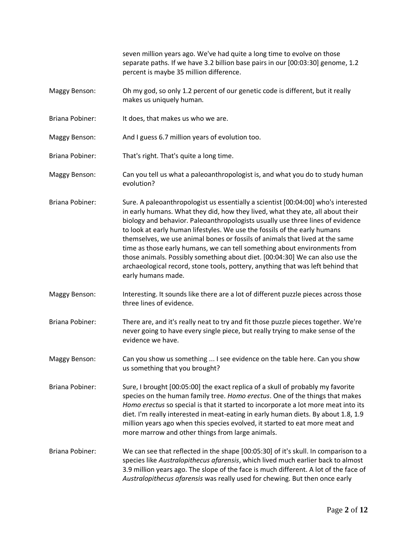seven million years ago. We've had quite a long time to evolve on those separate paths. If we have 3.2 billion base pairs in our [00:03:30] genome, 1.2 percent is maybe 35 million difference.

- Maggy Benson: Oh my god, so only 1.2 percent of our genetic code is different, but it really makes us uniquely human.
- Briana Pobiner: It does, that makes us who we are.

Maggy Benson: And I guess 6.7 million years of evolution too.

- Briana Pobiner: That's right. That's quite a long time.
- Maggy Benson: Can you tell us what a paleoanthropologist is, and what you do to study human evolution?
- Briana Pobiner: Sure. A paleoanthropologist us essentially a scientist [00:04:00] who's interested in early humans. What they did, how they lived, what they ate, all about their biology and behavior. Paleoanthropologists usually use three lines of evidence to look at early human lifestyles. We use the fossils of the early humans themselves, we use animal bones or fossils of animals that lived at the same time as those early humans, we can tell something about environments from those animals. Possibly something about diet. [00:04:30] We can also use the archaeological record, stone tools, pottery, anything that was left behind that early humans made.
- Maggy Benson: Interesting. It sounds like there are a lot of different puzzle pieces across those three lines of evidence.
- Briana Pobiner: There are, and it's really neat to try and fit those puzzle pieces together. We're never going to have every single piece, but really trying to make sense of the evidence we have.
- Maggy Benson: Can you show us something ... I see evidence on the table here. Can you show us something that you brought?
- Briana Pobiner: Sure, I brought [00:05:00] the exact replica of a skull of probably my favorite species on the human family tree. *Homo erectus*. One of the things that makes *Homo erectus* so special is that it started to incorporate a lot more meat into its diet. I'm really interested in meat-eating in early human diets. By about 1.8, 1.9 million years ago when this species evolved, it started to eat more meat and more marrow and other things from large animals.
- Briana Pobiner: We can see that reflected in the shape [00:05:30] of it's skull. In comparison to a species like *Australopithecus afarensis*, which lived much earlier back to almost 3.9 million years ago. The slope of the face is much different. A lot of the face of *Australopithecus afarensis* was really used for chewing. But then once early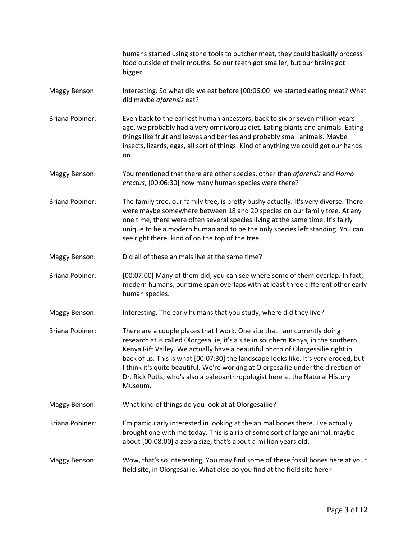|                        | humans started using stone tools to butcher meat, they could basically process<br>food outside of their mouths. So our teeth got smaller, but our brains got<br>bigger.                                                                                                                                                                                                                                                                                                                                                   |
|------------------------|---------------------------------------------------------------------------------------------------------------------------------------------------------------------------------------------------------------------------------------------------------------------------------------------------------------------------------------------------------------------------------------------------------------------------------------------------------------------------------------------------------------------------|
| <b>Maggy Benson:</b>   | Interesting. So what did we eat before [00:06:00] we started eating meat? What<br>did maybe afarensis eat?                                                                                                                                                                                                                                                                                                                                                                                                                |
| <b>Briana Pobiner:</b> | Even back to the earliest human ancestors, back to six or seven million years<br>ago, we probably had a very omnivorous diet. Eating plants and animals. Eating<br>things like fruit and leaves and berries and probably small animals. Maybe<br>insects, lizards, eggs, all sort of things. Kind of anything we could get our hands<br>on.                                                                                                                                                                               |
| Maggy Benson:          | You mentioned that there are other species, other than afarensis and Homo<br>erectus, [00:06:30] how many human species were there?                                                                                                                                                                                                                                                                                                                                                                                       |
| <b>Briana Pobiner:</b> | The family tree, our family tree, is pretty bushy actually. It's very diverse. There<br>were maybe somewhere between 18 and 20 species on our family tree. At any<br>one time, there were often several species living at the same time. It's fairly<br>unique to be a modern human and to be the only species left standing. You can<br>see right there, kind of on the top of the tree.                                                                                                                                 |
| Maggy Benson:          | Did all of these animals live at the same time?                                                                                                                                                                                                                                                                                                                                                                                                                                                                           |
| <b>Briana Pobiner:</b> | [00:07:00] Many of them did, you can see where some of them overlap. In fact,<br>modern humans, our time span overlaps with at least three different other early<br>human species.                                                                                                                                                                                                                                                                                                                                        |
| Maggy Benson:          | Interesting. The early humans that you study, where did they live?                                                                                                                                                                                                                                                                                                                                                                                                                                                        |
| <b>Briana Pobiner:</b> | There are a couple places that I work. One site that I am currently doing<br>research at is called Olorgesailie, it's a site in southern Kenya, in the southern<br>Kenya Rift Valley. We actually have a beautiful photo of Olorgesailie right in<br>back of us. This is what [00:07:30] the landscape looks like. It's very eroded, but<br>I think it's quite beautiful. We're working at Olorgesailie under the direction of<br>Dr. Rick Potts, who's also a paleoanthropologist here at the Natural History<br>Museum. |
| <b>Maggy Benson:</b>   | What kind of things do you look at at Olorgesailie?                                                                                                                                                                                                                                                                                                                                                                                                                                                                       |
| <b>Briana Pobiner:</b> | I'm particularly interested in looking at the animal bones there. I've actually<br>brought one with me today. This is a rib of some sort of large animal, maybe<br>about [00:08:00] a zebra size, that's about a million years old.                                                                                                                                                                                                                                                                                       |
| Maggy Benson:          | Wow, that's so interesting. You may find some of these fossil bones here at your<br>field site, in Olorgesailie. What else do you find at the field site here?                                                                                                                                                                                                                                                                                                                                                            |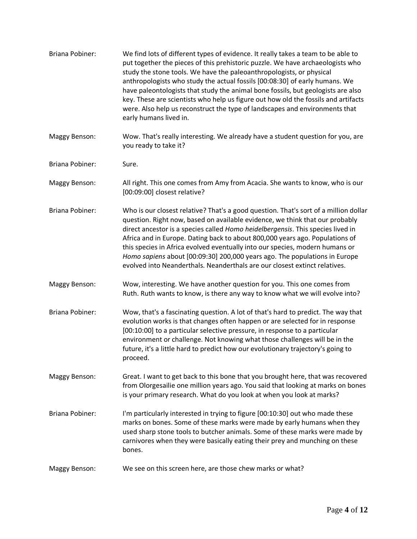| <b>Briana Pobiner:</b> | We find lots of different types of evidence. It really takes a team to be able to<br>put together the pieces of this prehistoric puzzle. We have archaeologists who<br>study the stone tools. We have the paleoanthropologists, or physical<br>anthropologists who study the actual fossils [00:08:30] of early humans. We<br>have paleontologists that study the animal bone fossils, but geologists are also<br>key. These are scientists who help us figure out how old the fossils and artifacts<br>were. Also help us reconstruct the type of landscapes and environments that<br>early humans lived in. |
|------------------------|---------------------------------------------------------------------------------------------------------------------------------------------------------------------------------------------------------------------------------------------------------------------------------------------------------------------------------------------------------------------------------------------------------------------------------------------------------------------------------------------------------------------------------------------------------------------------------------------------------------|
| Maggy Benson:          | Wow. That's really interesting. We already have a student question for you, are<br>you ready to take it?                                                                                                                                                                                                                                                                                                                                                                                                                                                                                                      |
| <b>Briana Pobiner:</b> | Sure.                                                                                                                                                                                                                                                                                                                                                                                                                                                                                                                                                                                                         |
| Maggy Benson:          | All right. This one comes from Amy from Acacia. She wants to know, who is our<br>[00:09:00] closest relative?                                                                                                                                                                                                                                                                                                                                                                                                                                                                                                 |
| <b>Briana Pobiner:</b> | Who is our closest relative? That's a good question. That's sort of a million dollar<br>question. Right now, based on available evidence, we think that our probably<br>direct ancestor is a species called Homo heidelbergensis. This species lived in<br>Africa and in Europe. Dating back to about 800,000 years ago. Populations of<br>this species in Africa evolved eventually into our species, modern humans or<br>Homo sapiens about [00:09:30] 200,000 years ago. The populations in Europe<br>evolved into Neanderthals. Neanderthals are our closest extinct relatives.                           |
| Maggy Benson:          | Wow, interesting. We have another question for you. This one comes from<br>Ruth. Ruth wants to know, is there any way to know what we will evolve into?                                                                                                                                                                                                                                                                                                                                                                                                                                                       |
| <b>Briana Pobiner:</b> | Wow, that's a fascinating question. A lot of that's hard to predict. The way that<br>evolution works is that changes often happen or are selected for in response<br>[00:10:00] to a particular selective pressure, in response to a particular<br>environment or challenge. Not knowing what those challenges will be in the<br>future, it's a little hard to predict how our evolutionary trajectory's going to<br>proceed.                                                                                                                                                                                 |
| <b>Maggy Benson:</b>   | Great. I want to get back to this bone that you brought here, that was recovered<br>from Olorgesailie one million years ago. You said that looking at marks on bones<br>is your primary research. What do you look at when you look at marks?                                                                                                                                                                                                                                                                                                                                                                 |
| <b>Briana Pobiner:</b> | I'm particularly interested in trying to figure [00:10:30] out who made these<br>marks on bones. Some of these marks were made by early humans when they<br>used sharp stone tools to butcher animals. Some of these marks were made by<br>carnivores when they were basically eating their prey and munching on these<br>bones.                                                                                                                                                                                                                                                                              |
| Maggy Benson:          | We see on this screen here, are those chew marks or what?                                                                                                                                                                                                                                                                                                                                                                                                                                                                                                                                                     |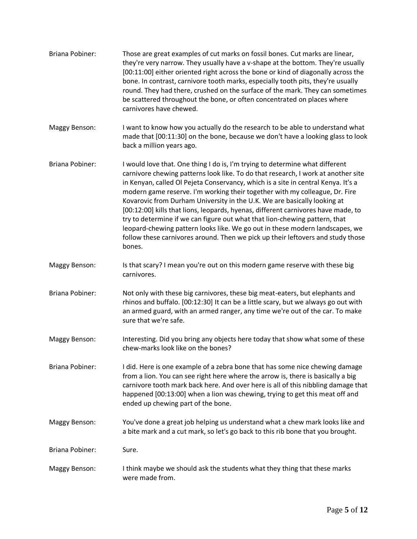| <b>Briana Pobiner:</b> | Those are great examples of cut marks on fossil bones. Cut marks are linear,<br>they're very narrow. They usually have a v-shape at the bottom. They're usually<br>[00:11:00] either oriented right across the bone or kind of diagonally across the<br>bone. In contrast, carnivore tooth marks, especially tooth pits, they're usually<br>round. They had there, crushed on the surface of the mark. They can sometimes<br>be scattered throughout the bone, or often concentrated on places where<br>carnivores have chewed.                                                                                                                                                                                                                                   |
|------------------------|-------------------------------------------------------------------------------------------------------------------------------------------------------------------------------------------------------------------------------------------------------------------------------------------------------------------------------------------------------------------------------------------------------------------------------------------------------------------------------------------------------------------------------------------------------------------------------------------------------------------------------------------------------------------------------------------------------------------------------------------------------------------|
| <b>Maggy Benson:</b>   | I want to know how you actually do the research to be able to understand what<br>made that [00:11:30] on the bone, because we don't have a looking glass to look<br>back a million years ago.                                                                                                                                                                                                                                                                                                                                                                                                                                                                                                                                                                     |
| <b>Briana Pobiner:</b> | I would love that. One thing I do is, I'm trying to determine what different<br>carnivore chewing patterns look like. To do that research, I work at another site<br>in Kenyan, called Ol Pejeta Conservancy, which is a site in central Kenya. It's a<br>modern game reserve. I'm working their together with my colleague, Dr. Fire<br>Kovarovic from Durham University in the U.K. We are basically looking at<br>[00:12:00] kills that lions, leopards, hyenas, different carnivores have made, to<br>try to determine if we can figure out what that lion-chewing pattern, that<br>leopard-chewing pattern looks like. We go out in these modern landscapes, we<br>follow these carnivores around. Then we pick up their leftovers and study those<br>bones. |
| Maggy Benson:          | Is that scary? I mean you're out on this modern game reserve with these big<br>carnivores.                                                                                                                                                                                                                                                                                                                                                                                                                                                                                                                                                                                                                                                                        |
| <b>Briana Pobiner:</b> | Not only with these big carnivores, these big meat-eaters, but elephants and<br>rhinos and buffalo. [00:12:30] It can be a little scary, but we always go out with<br>an armed guard, with an armed ranger, any time we're out of the car. To make<br>sure that we're safe.                                                                                                                                                                                                                                                                                                                                                                                                                                                                                       |
| <b>Maggy Benson:</b>   | Interesting. Did you bring any objects here today that show what some of these<br>chew-marks look like on the bones?                                                                                                                                                                                                                                                                                                                                                                                                                                                                                                                                                                                                                                              |
| Briana Pobiner:        | I did. Here is one example of a zebra bone that has some nice chewing damage<br>from a lion. You can see right here where the arrow is, there is basically a big<br>carnivore tooth mark back here. And over here is all of this nibbling damage that<br>happened [00:13:00] when a lion was chewing, trying to get this meat off and<br>ended up chewing part of the bone.                                                                                                                                                                                                                                                                                                                                                                                       |
| <b>Maggy Benson:</b>   | You've done a great job helping us understand what a chew mark looks like and<br>a bite mark and a cut mark, so let's go back to this rib bone that you brought.                                                                                                                                                                                                                                                                                                                                                                                                                                                                                                                                                                                                  |
| Briana Pobiner:        | Sure.                                                                                                                                                                                                                                                                                                                                                                                                                                                                                                                                                                                                                                                                                                                                                             |
| <b>Maggy Benson:</b>   | I think maybe we should ask the students what they thing that these marks<br>were made from.                                                                                                                                                                                                                                                                                                                                                                                                                                                                                                                                                                                                                                                                      |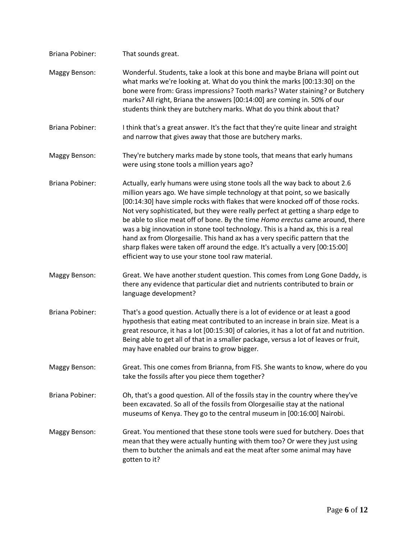| <b>Briana Pobiner:</b> | That sounds great.                                                                                                                                                                                                                                                                                                                                                                                                                                                                                                                                                                                                                                                                                                          |
|------------------------|-----------------------------------------------------------------------------------------------------------------------------------------------------------------------------------------------------------------------------------------------------------------------------------------------------------------------------------------------------------------------------------------------------------------------------------------------------------------------------------------------------------------------------------------------------------------------------------------------------------------------------------------------------------------------------------------------------------------------------|
| Maggy Benson:          | Wonderful. Students, take a look at this bone and maybe Briana will point out<br>what marks we're looking at. What do you think the marks [00:13:30] on the<br>bone were from: Grass impressions? Tooth marks? Water staining? or Butchery<br>marks? All right, Briana the answers [00:14:00] are coming in. 50% of our<br>students think they are butchery marks. What do you think about that?                                                                                                                                                                                                                                                                                                                            |
| <b>Briana Pobiner:</b> | I think that's a great answer. It's the fact that they're quite linear and straight<br>and narrow that gives away that those are butchery marks.                                                                                                                                                                                                                                                                                                                                                                                                                                                                                                                                                                            |
| Maggy Benson:          | They're butchery marks made by stone tools, that means that early humans<br>were using stone tools a million years ago?                                                                                                                                                                                                                                                                                                                                                                                                                                                                                                                                                                                                     |
| <b>Briana Pobiner:</b> | Actually, early humans were using stone tools all the way back to about 2.6<br>million years ago. We have simple technology at that point, so we basically<br>[00:14:30] have simple rocks with flakes that were knocked off of those rocks.<br>Not very sophisticated, but they were really perfect at getting a sharp edge to<br>be able to slice meat off of bone. By the time Homo erectus came around, there<br>was a big innovation in stone tool technology. This is a hand ax, this is a real<br>hand ax from Olorgesailie. This hand ax has a very specific pattern that the<br>sharp flakes were taken off around the edge. It's actually a very [00:15:00]<br>efficient way to use your stone tool raw material. |
| Maggy Benson:          | Great. We have another student question. This comes from Long Gone Daddy, is<br>there any evidence that particular diet and nutrients contributed to brain or<br>language development?                                                                                                                                                                                                                                                                                                                                                                                                                                                                                                                                      |
| <b>Briana Pobiner:</b> | That's a good question. Actually there is a lot of evidence or at least a good<br>hypothesis that eating meat contributed to an increase in brain size. Meat is a<br>great resource, it has a lot [00:15:30] of calories, it has a lot of fat and nutrition.<br>Being able to get all of that in a smaller package, versus a lot of leaves or fruit,<br>may have enabled our brains to grow bigger.                                                                                                                                                                                                                                                                                                                         |
| Maggy Benson:          | Great. This one comes from Brianna, from FIS. She wants to know, where do you<br>take the fossils after you piece them together?                                                                                                                                                                                                                                                                                                                                                                                                                                                                                                                                                                                            |
| <b>Briana Pobiner:</b> | Oh, that's a good question. All of the fossils stay in the country where they've<br>been excavated. So all of the fossils from Olorgesailie stay at the national<br>museums of Kenya. They go to the central museum in [00:16:00] Nairobi.                                                                                                                                                                                                                                                                                                                                                                                                                                                                                  |
| Maggy Benson:          | Great. You mentioned that these stone tools were sued for butchery. Does that<br>mean that they were actually hunting with them too? Or were they just using<br>them to butcher the animals and eat the meat after some animal may have<br>gotten to it?                                                                                                                                                                                                                                                                                                                                                                                                                                                                    |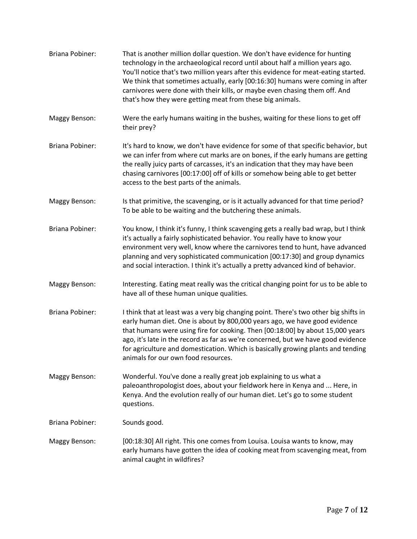| <b>Briana Pobiner:</b> | That is another million dollar question. We don't have evidence for hunting<br>technology in the archaeological record until about half a million years ago.<br>You'll notice that's two million years after this evidence for meat-eating started.<br>We think that sometimes actually, early [00:16:30] humans were coming in after<br>carnivores were done with their kills, or maybe even chasing them off. And<br>that's how they were getting meat from these big animals. |
|------------------------|----------------------------------------------------------------------------------------------------------------------------------------------------------------------------------------------------------------------------------------------------------------------------------------------------------------------------------------------------------------------------------------------------------------------------------------------------------------------------------|
| <b>Maggy Benson:</b>   | Were the early humans waiting in the bushes, waiting for these lions to get off<br>their prey?                                                                                                                                                                                                                                                                                                                                                                                   |
| <b>Briana Pobiner:</b> | It's hard to know, we don't have evidence for some of that specific behavior, but<br>we can infer from where cut marks are on bones, if the early humans are getting<br>the really juicy parts of carcasses, it's an indication that they may have been<br>chasing carnivores [00:17:00] off of kills or somehow being able to get better<br>access to the best parts of the animals.                                                                                            |
| <b>Maggy Benson:</b>   | Is that primitive, the scavenging, or is it actually advanced for that time period?<br>To be able to be waiting and the butchering these animals.                                                                                                                                                                                                                                                                                                                                |
| <b>Briana Pobiner:</b> | You know, I think it's funny, I think scavenging gets a really bad wrap, but I think<br>it's actually a fairly sophisticated behavior. You really have to know your<br>environment very well, know where the carnivores tend to hunt, have advanced<br>planning and very sophisticated communication [00:17:30] and group dynamics<br>and social interaction. I think it's actually a pretty advanced kind of behavior.                                                          |
| <b>Maggy Benson:</b>   | Interesting. Eating meat really was the critical changing point for us to be able to<br>have all of these human unique qualities.                                                                                                                                                                                                                                                                                                                                                |
| <b>Briana Pobiner:</b> | I think that at least was a very big changing point. There's two other big shifts in<br>early human diet. One is about by 800,000 years ago, we have good evidence<br>that humans were using fire for cooking. Then [00:18:00] by about 15,000 years<br>ago, it's late in the record as far as we're concerned, but we have good evidence<br>for agriculture and domestication. Which is basically growing plants and tending<br>animals for our own food resources.             |
| <b>Maggy Benson:</b>   | Wonderful. You've done a really great job explaining to us what a<br>paleoanthropologist does, about your fieldwork here in Kenya and  Here, in<br>Kenya. And the evolution really of our human diet. Let's go to some student<br>questions.                                                                                                                                                                                                                                     |
| <b>Briana Pobiner:</b> | Sounds good.                                                                                                                                                                                                                                                                                                                                                                                                                                                                     |
| <b>Maggy Benson:</b>   | [00:18:30] All right. This one comes from Louisa. Louisa wants to know, may<br>early humans have gotten the idea of cooking meat from scavenging meat, from<br>animal caught in wildfires?                                                                                                                                                                                                                                                                                       |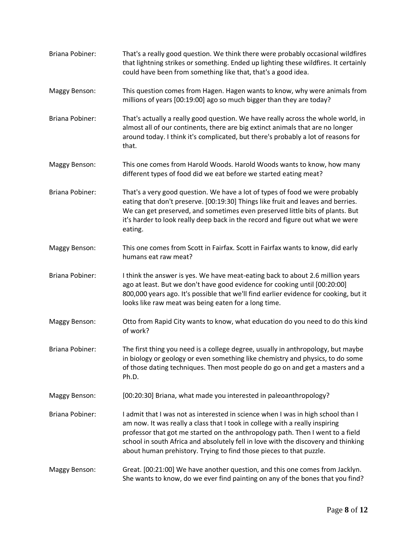| Briana Pobiner:        | That's a really good question. We think there were probably occasional wildfires<br>that lightning strikes or something. Ended up lighting these wildfires. It certainly<br>could have been from something like that, that's a good idea.                                                                                                                                                                       |
|------------------------|-----------------------------------------------------------------------------------------------------------------------------------------------------------------------------------------------------------------------------------------------------------------------------------------------------------------------------------------------------------------------------------------------------------------|
| <b>Maggy Benson:</b>   | This question comes from Hagen. Hagen wants to know, why were animals from<br>millions of years [00:19:00] ago so much bigger than they are today?                                                                                                                                                                                                                                                              |
| <b>Briana Pobiner:</b> | That's actually a really good question. We have really across the whole world, in<br>almost all of our continents, there are big extinct animals that are no longer<br>around today. I think it's complicated, but there's probably a lot of reasons for<br>that.                                                                                                                                               |
| <b>Maggy Benson:</b>   | This one comes from Harold Woods. Harold Woods wants to know, how many<br>different types of food did we eat before we started eating meat?                                                                                                                                                                                                                                                                     |
| <b>Briana Pobiner:</b> | That's a very good question. We have a lot of types of food we were probably<br>eating that don't preserve. [00:19:30] Things like fruit and leaves and berries.<br>We can get preserved, and sometimes even preserved little bits of plants. But<br>it's harder to look really deep back in the record and figure out what we were<br>eating.                                                                  |
| <b>Maggy Benson:</b>   | This one comes from Scott in Fairfax. Scott in Fairfax wants to know, did early<br>humans eat raw meat?                                                                                                                                                                                                                                                                                                         |
| <b>Briana Pobiner:</b> | I think the answer is yes. We have meat-eating back to about 2.6 million years<br>ago at least. But we don't have good evidence for cooking until [00:20:00]<br>800,000 years ago. It's possible that we'll find earlier evidence for cooking, but it<br>looks like raw meat was being eaten for a long time.                                                                                                   |
| <b>Maggy Benson:</b>   | Otto from Rapid City wants to know, what education do you need to do this kind<br>of work?                                                                                                                                                                                                                                                                                                                      |
| <b>Briana Pobiner:</b> | The first thing you need is a college degree, usually in anthropology, but maybe<br>in biology or geology or even something like chemistry and physics, to do some<br>of those dating techniques. Then most people do go on and get a masters and a<br>Ph.D.                                                                                                                                                    |
| <b>Maggy Benson:</b>   | [00:20:30] Briana, what made you interested in paleoanthropology?                                                                                                                                                                                                                                                                                                                                               |
| <b>Briana Pobiner:</b> | I admit that I was not as interested in science when I was in high school than I<br>am now. It was really a class that I took in college with a really inspiring<br>professor that got me started on the anthropology path. Then I went to a field<br>school in south Africa and absolutely fell in love with the discovery and thinking<br>about human prehistory. Trying to find those pieces to that puzzle. |
| <b>Maggy Benson:</b>   | Great. [00:21:00] We have another question, and this one comes from Jacklyn.<br>She wants to know, do we ever find painting on any of the bones that you find?                                                                                                                                                                                                                                                  |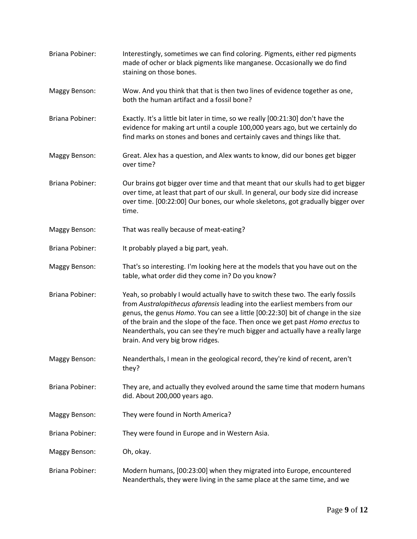| <b>Briana Pobiner:</b> | Interestingly, sometimes we can find coloring. Pigments, either red pigments<br>made of ocher or black pigments like manganese. Occasionally we do find<br>staining on those bones.                                                                                                                                                                                                                                                                     |
|------------------------|---------------------------------------------------------------------------------------------------------------------------------------------------------------------------------------------------------------------------------------------------------------------------------------------------------------------------------------------------------------------------------------------------------------------------------------------------------|
| <b>Maggy Benson:</b>   | Wow. And you think that that is then two lines of evidence together as one,<br>both the human artifact and a fossil bone?                                                                                                                                                                                                                                                                                                                               |
| <b>Briana Pobiner:</b> | Exactly. It's a little bit later in time, so we really [00:21:30] don't have the<br>evidence for making art until a couple 100,000 years ago, but we certainly do<br>find marks on stones and bones and certainly caves and things like that.                                                                                                                                                                                                           |
| <b>Maggy Benson:</b>   | Great. Alex has a question, and Alex wants to know, did our bones get bigger<br>over time?                                                                                                                                                                                                                                                                                                                                                              |
| <b>Briana Pobiner:</b> | Our brains got bigger over time and that meant that our skulls had to get bigger<br>over time, at least that part of our skull. In general, our body size did increase<br>over time. [00:22:00] Our bones, our whole skeletons, got gradually bigger over<br>time.                                                                                                                                                                                      |
| <b>Maggy Benson:</b>   | That was really because of meat-eating?                                                                                                                                                                                                                                                                                                                                                                                                                 |
| <b>Briana Pobiner:</b> | It probably played a big part, yeah.                                                                                                                                                                                                                                                                                                                                                                                                                    |
| <b>Maggy Benson:</b>   | That's so interesting. I'm looking here at the models that you have out on the<br>table, what order did they come in? Do you know?                                                                                                                                                                                                                                                                                                                      |
| <b>Briana Pobiner:</b> | Yeah, so probably I would actually have to switch these two. The early fossils<br>from Australopithecus afarensis leading into the earliest members from our<br>genus, the genus Homo. You can see a little [00:22:30] bit of change in the size<br>of the brain and the slope of the face. Then once we get past Homo erectus to<br>Neanderthals, you can see they're much bigger and actually have a really large<br>brain. And very big brow ridges. |
| <b>Maggy Benson:</b>   | Neanderthals, I mean in the geological record, they're kind of recent, aren't<br>they?                                                                                                                                                                                                                                                                                                                                                                  |
| <b>Briana Pobiner:</b> | They are, and actually they evolved around the same time that modern humans<br>did. About 200,000 years ago.                                                                                                                                                                                                                                                                                                                                            |
| <b>Maggy Benson:</b>   | They were found in North America?                                                                                                                                                                                                                                                                                                                                                                                                                       |
| <b>Briana Pobiner:</b> | They were found in Europe and in Western Asia.                                                                                                                                                                                                                                                                                                                                                                                                          |
| <b>Maggy Benson:</b>   | Oh, okay.                                                                                                                                                                                                                                                                                                                                                                                                                                               |
| <b>Briana Pobiner:</b> | Modern humans, [00:23:00] when they migrated into Europe, encountered<br>Neanderthals, they were living in the same place at the same time, and we                                                                                                                                                                                                                                                                                                      |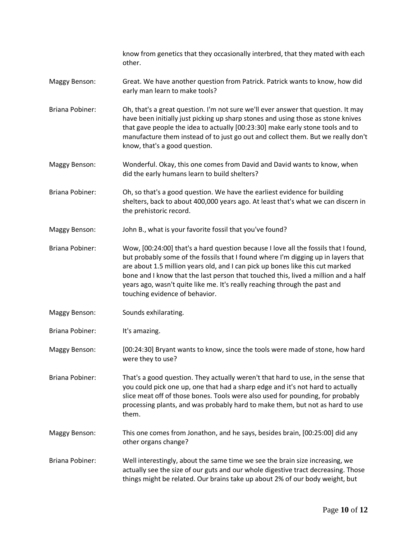know from genetics that they occasionally interbred, that they mated with each other.

- Maggy Benson: Great. We have another question from Patrick. Patrick wants to know, how did early man learn to make tools?
- Briana Pobiner: Oh, that's a great question. I'm not sure we'll ever answer that question. It may have been initially just picking up sharp stones and using those as stone knives that gave people the idea to actually [00:23:30] make early stone tools and to manufacture them instead of to just go out and collect them. But we really don't know, that's a good question.
- Maggy Benson: Wonderful. Okay, this one comes from David and David wants to know, when did the early humans learn to build shelters?
- Briana Pobiner: Oh, so that's a good question. We have the earliest evidence for building shelters, back to about 400,000 years ago. At least that's what we can discern in the prehistoric record.
- Maggy Benson: John B., what is your favorite fossil that you've found?
- Briana Pobiner: Wow, [00:24:00] that's a hard question because I love all the fossils that I found, but probably some of the fossils that I found where I'm digging up in layers that are about 1.5 million years old, and I can pick up bones like this cut marked bone and I know that the last person that touched this, lived a million and a half years ago, wasn't quite like me. It's really reaching through the past and touching evidence of behavior.
- Maggy Benson: Sounds exhilarating.
- Briana Pobiner: It's amazing.
- Maggy Benson: [00:24:30] Bryant wants to know, since the tools were made of stone, how hard were they to use?
- Briana Pobiner: That's a good question. They actually weren't that hard to use, in the sense that you could pick one up, one that had a sharp edge and it's not hard to actually slice meat off of those bones. Tools were also used for pounding, for probably processing plants, and was probably hard to make them, but not as hard to use them.
- Maggy Benson: This one comes from Jonathon, and he says, besides brain, [00:25:00] did any other organs change?
- Briana Pobiner: Well interestingly, about the same time we see the brain size increasing, we actually see the size of our guts and our whole digestive tract decreasing. Those things might be related. Our brains take up about 2% of our body weight, but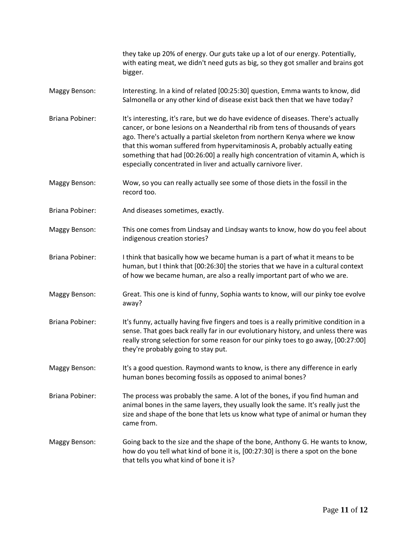|                        | they take up 20% of energy. Our guts take up a lot of our energy. Potentially,<br>with eating meat, we didn't need guts as big, so they got smaller and brains got<br>bigger.                                                                                                                                                                                                                                                                                                        |
|------------------------|--------------------------------------------------------------------------------------------------------------------------------------------------------------------------------------------------------------------------------------------------------------------------------------------------------------------------------------------------------------------------------------------------------------------------------------------------------------------------------------|
| <b>Maggy Benson:</b>   | Interesting. In a kind of related [00:25:30] question, Emma wants to know, did<br>Salmonella or any other kind of disease exist back then that we have today?                                                                                                                                                                                                                                                                                                                        |
| <b>Briana Pobiner:</b> | It's interesting, it's rare, but we do have evidence of diseases. There's actually<br>cancer, or bone lesions on a Neanderthal rib from tens of thousands of years<br>ago. There's actually a partial skeleton from northern Kenya where we know<br>that this woman suffered from hypervitaminosis A, probably actually eating<br>something that had [00:26:00] a really high concentration of vitamin A, which is<br>especially concentrated in liver and actually carnivore liver. |
| <b>Maggy Benson:</b>   | Wow, so you can really actually see some of those diets in the fossil in the<br>record too.                                                                                                                                                                                                                                                                                                                                                                                          |
| <b>Briana Pobiner:</b> | And diseases sometimes, exactly.                                                                                                                                                                                                                                                                                                                                                                                                                                                     |
| Maggy Benson:          | This one comes from Lindsay and Lindsay wants to know, how do you feel about<br>indigenous creation stories?                                                                                                                                                                                                                                                                                                                                                                         |
| <b>Briana Pobiner:</b> | I think that basically how we became human is a part of what it means to be<br>human, but I think that [00:26:30] the stories that we have in a cultural context<br>of how we became human, are also a really important part of who we are.                                                                                                                                                                                                                                          |
| Maggy Benson:          | Great. This one is kind of funny, Sophia wants to know, will our pinky toe evolve<br>away?                                                                                                                                                                                                                                                                                                                                                                                           |
| <b>Briana Pobiner:</b> | It's funny, actually having five fingers and toes is a really primitive condition in a<br>sense. That goes back really far in our evolutionary history, and unless there was<br>really strong selection for some reason for our pinky toes to go away, [00:27:00]<br>they're probably going to stay put.                                                                                                                                                                             |
| Maggy Benson:          | It's a good question. Raymond wants to know, is there any difference in early<br>human bones becoming fossils as opposed to animal bones?                                                                                                                                                                                                                                                                                                                                            |
| <b>Briana Pobiner:</b> | The process was probably the same. A lot of the bones, if you find human and<br>animal bones in the same layers, they usually look the same. It's really just the<br>size and shape of the bone that lets us know what type of animal or human they<br>came from.                                                                                                                                                                                                                    |
| Maggy Benson:          | Going back to the size and the shape of the bone, Anthony G. He wants to know,<br>how do you tell what kind of bone it is, [00:27:30] is there a spot on the bone<br>that tells you what kind of bone it is?                                                                                                                                                                                                                                                                         |